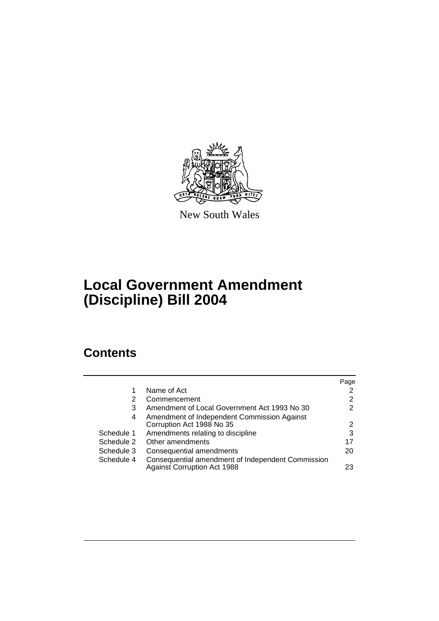

New South Wales

# **Local Government Amendment (Discipline) Bill 2004**

# **Contents**

|            |                                                                                         | Page |
|------------|-----------------------------------------------------------------------------------------|------|
| 1          | Name of Act                                                                             |      |
| 2          | Commencement                                                                            | 2    |
| 3          | Amendment of Local Government Act 1993 No 30                                            | 2    |
| 4          | Amendment of Independent Commission Against                                             |      |
|            | Corruption Act 1988 No 35                                                               | 2    |
| Schedule 1 | Amendments relating to discipline                                                       | 3    |
| Schedule 2 | Other amendments                                                                        | 17   |
| Schedule 3 | Consequential amendments                                                                | 20   |
| Schedule 4 | Consequential amendment of Independent Commission<br><b>Against Corruption Act 1988</b> | 23   |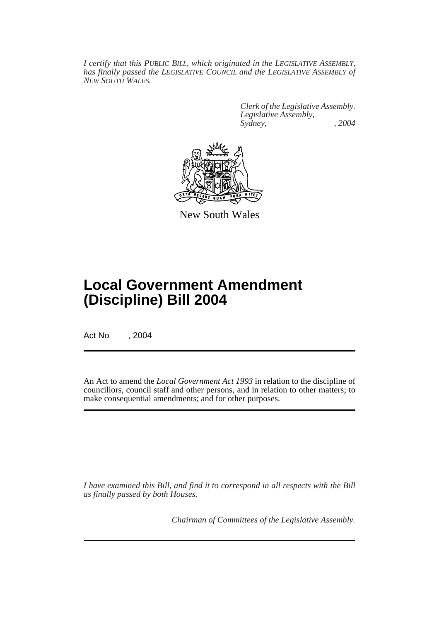*I certify that this PUBLIC BILL, which originated in the LEGISLATIVE ASSEMBLY, has finally passed the LEGISLATIVE COUNCIL and the LEGISLATIVE ASSEMBLY of NEW SOUTH WALES.*

> *Clerk of the Legislative Assembly. Legislative Assembly, Sydney, , 2004*



New South Wales

# **Local Government Amendment (Discipline) Bill 2004**

Act No , 2004

An Act to amend the *Local Government Act 1993* in relation to the discipline of councillors, council staff and other persons, and in relation to other matters; to make consequential amendments; and for other purposes.

*I have examined this Bill, and find it to correspond in all respects with the Bill as finally passed by both Houses.*

*Chairman of Committees of the Legislative Assembly.*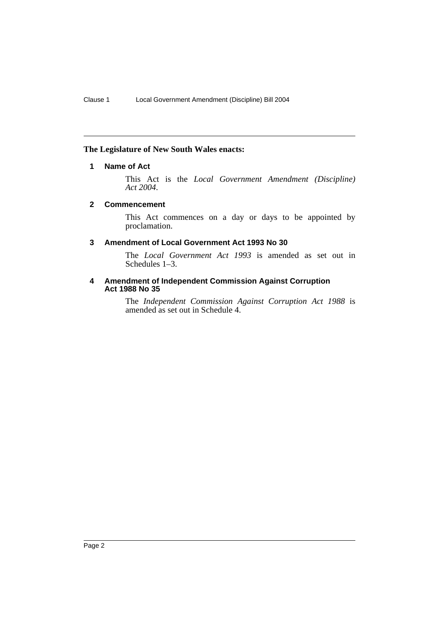# **The Legislature of New South Wales enacts:**

# **1 Name of Act**

This Act is the *Local Government Amendment (Discipline) Act 2004*.

# **2 Commencement**

This Act commences on a day or days to be appointed by proclamation.

# **3 Amendment of Local Government Act 1993 No 30**

The *Local Government Act 1993* is amended as set out in Schedules 1–3.

#### **4 Amendment of Independent Commission Against Corruption Act 1988 No 35**

The *Independent Commission Against Corruption Act 1988* is amended as set out in Schedule 4.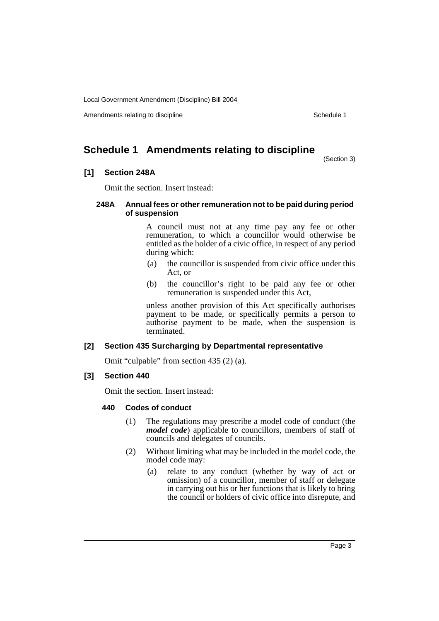Amendments relating to discipline Schedule 1

# **Schedule 1 Amendments relating to discipline**

(Section 3)

# **[1] Section 248A**

Omit the section. Insert instead:

#### **248A Annual fees or other remuneration not to be paid during period of suspension**

A council must not at any time pay any fee or other remuneration, to which a councillor would otherwise be entitled as the holder of a civic office, in respect of any period during which:

- (a) the councillor is suspended from civic office under this Act, or
- (b) the councillor's right to be paid any fee or other remuneration is suspended under this Act,

unless another provision of this Act specifically authorises payment to be made, or specifically permits a person to authorise payment to be made, when the suspension is terminated.

# **[2] Section 435 Surcharging by Departmental representative**

Omit "culpable" from section 435 (2) (a).

# **[3] Section 440**

Omit the section. Insert instead:

# **440 Codes of conduct**

- (1) The regulations may prescribe a model code of conduct (the *model code*) applicable to councillors, members of staff of councils and delegates of councils.
- (2) Without limiting what may be included in the model code, the model code may:
	- (a) relate to any conduct (whether by way of act or omission) of a councillor, member of staff or delegate in carrying out his or her functions that is likely to bring the council or holders of civic office into disrepute, and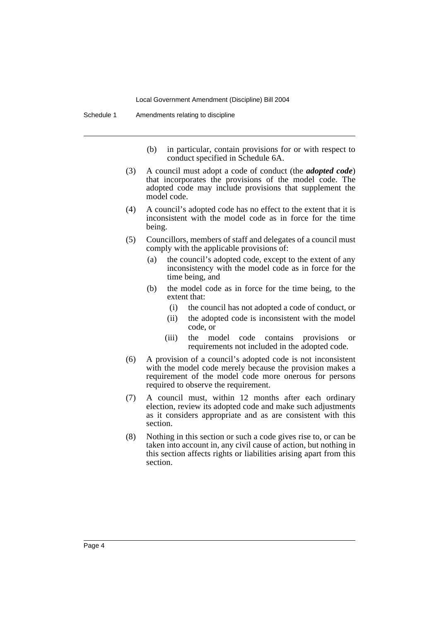- (b) in particular, contain provisions for or with respect to conduct specified in Schedule 6A.
- (3) A council must adopt a code of conduct (the *adopted code*) that incorporates the provisions of the model code. The adopted code may include provisions that supplement the model code.
- (4) A council's adopted code has no effect to the extent that it is inconsistent with the model code as in force for the time being.
- (5) Councillors, members of staff and delegates of a council must comply with the applicable provisions of:
	- (a) the council's adopted code, except to the extent of any inconsistency with the model code as in force for the time being, and
	- (b) the model code as in force for the time being, to the extent that:
		- (i) the council has not adopted a code of conduct, or
		- (ii) the adopted code is inconsistent with the model code, or
		- (iii) the model code contains provisions or requirements not included in the adopted code.
- (6) A provision of a council's adopted code is not inconsistent with the model code merely because the provision makes a requirement of the model code more onerous for persons required to observe the requirement.
- (7) A council must, within 12 months after each ordinary election, review its adopted code and make such adjustments as it considers appropriate and as are consistent with this section.
- (8) Nothing in this section or such a code gives rise to, or can be taken into account in, any civil cause of action, but nothing in this section affects rights or liabilities arising apart from this section.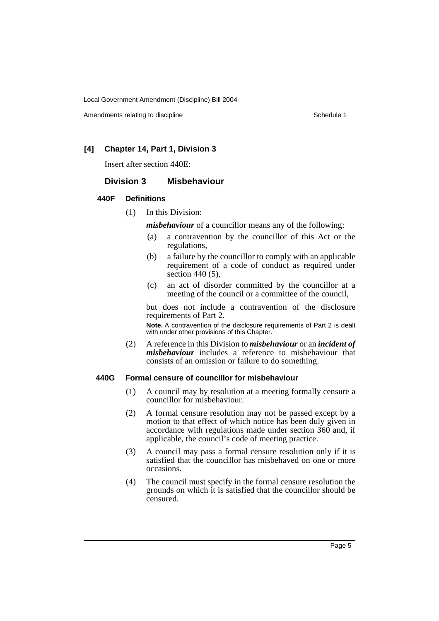Amendments relating to discipline Schedule 1

# **[4] Chapter 14, Part 1, Division 3**

Insert after section 440E:

#### **Division 3 Misbehaviour**

#### **440F Definitions**

(1) In this Division:

*misbehaviour* of a councillor means any of the following:

- (a) a contravention by the councillor of this Act or the regulations,
- (b) a failure by the councillor to comply with an applicable requirement of a code of conduct as required under section 440 (5),
- (c) an act of disorder committed by the councillor at a meeting of the council or a committee of the council,

but does not include a contravention of the disclosure requirements of Part 2.

**Note.** A contravention of the disclosure requirements of Part 2 is dealt with under other provisions of this Chapter.

(2) A reference in this Division to *misbehaviour* or an *incident of misbehaviour* includes a reference to misbehaviour that consists of an omission or failure to do something.

#### **440G Formal censure of councillor for misbehaviour**

- (1) A council may by resolution at a meeting formally censure a councillor for misbehaviour.
- (2) A formal censure resolution may not be passed except by a motion to that effect of which notice has been duly given in accordance with regulations made under section 360 and, if applicable, the council's code of meeting practice.
- (3) A council may pass a formal censure resolution only if it is satisfied that the councillor has misbehaved on one or more occasions.
- (4) The council must specify in the formal censure resolution the grounds on which it is satisfied that the councillor should be censured.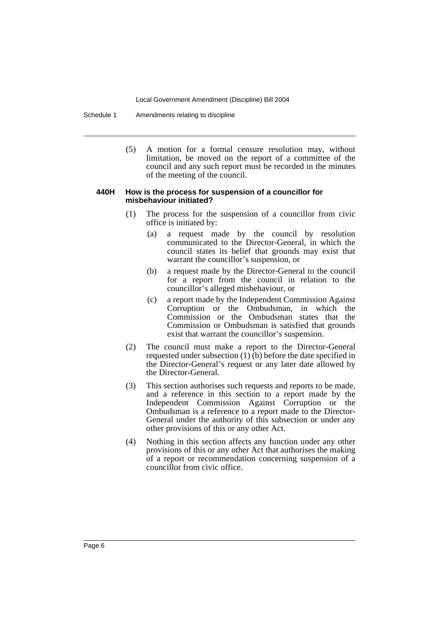Schedule 1 Amendments relating to discipline

(5) A motion for a formal censure resolution may, without limitation, be moved on the report of a committee of the council and any such report must be recorded in the minutes of the meeting of the council.

#### **440H How is the process for suspension of a councillor for misbehaviour initiated?**

- (1) The process for the suspension of a councillor from civic office is initiated by:
	- (a) a request made by the council by resolution communicated to the Director-General, in which the council states its belief that grounds may exist that warrant the councillor's suspension, or
	- (b) a request made by the Director-General to the council for a report from the council in relation to the councillor's alleged misbehaviour, or
	- (c) a report made by the Independent Commission Against Corruption or the Ombudsman, in which the Commission or the Ombudsman states that the Commission or Ombudsman is satisfied that grounds exist that warrant the councillor's suspension.
- (2) The council must make a report to the Director-General requested under subsection  $(1)$  (b) before the date specified in the Director-General's request or any later date allowed by the Director-General.
- (3) This section authorises such requests and reports to be made, and a reference in this section to a report made by the Independent Commission Against Corruption or the Ombudsman is a reference to a report made to the Director-General under the authority of this subsection or under any other provisions of this or any other Act.
- (4) Nothing in this section affects any function under any other provisions of this or any other Act that authorises the making of a report or recommendation concerning suspension of a councillor from civic office.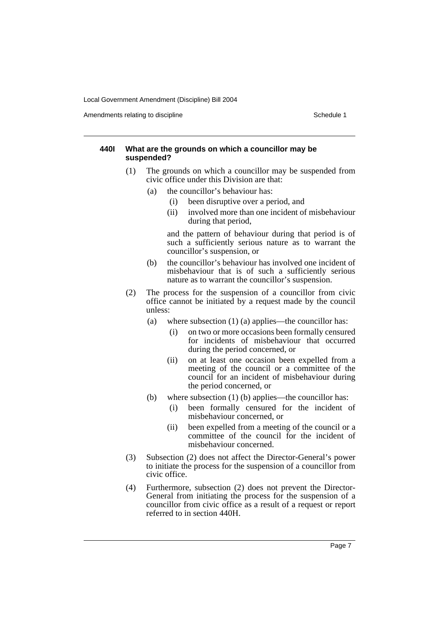Amendments relating to discipline Schedule 1

#### **440I What are the grounds on which a councillor may be suspended?**

- (1) The grounds on which a councillor may be suspended from civic office under this Division are that:
	- (a) the councillor's behaviour has:
		- (i) been disruptive over a period, and
		- (ii) involved more than one incident of misbehaviour during that period,

and the pattern of behaviour during that period is of such a sufficiently serious nature as to warrant the councillor's suspension, or

- (b) the councillor's behaviour has involved one incident of misbehaviour that is of such a sufficiently serious nature as to warrant the councillor's suspension.
- (2) The process for the suspension of a councillor from civic office cannot be initiated by a request made by the council unless:
	- (a) where subsection (1) (a) applies—the councillor has:
		- (i) on two or more occasions been formally censured for incidents of misbehaviour that occurred during the period concerned, or
		- (ii) on at least one occasion been expelled from a meeting of the council or a committee of the council for an incident of misbehaviour during the period concerned, or
	- (b) where subsection (1) (b) applies—the councillor has:
		- (i) been formally censured for the incident of misbehaviour concerned, or
		- (ii) been expelled from a meeting of the council or a committee of the council for the incident of misbehaviour concerned.
- (3) Subsection (2) does not affect the Director-General's power to initiate the process for the suspension of a councillor from civic office.
- (4) Furthermore, subsection (2) does not prevent the Director-General from initiating the process for the suspension of a councillor from civic office as a result of a request or report referred to in section 440H.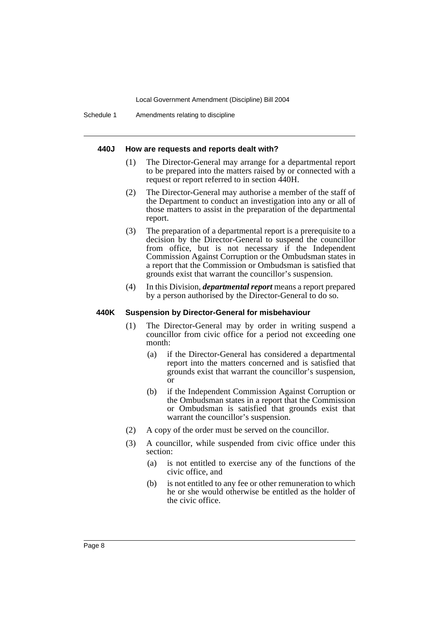#### **440J How are requests and reports dealt with?**

- (1) The Director-General may arrange for a departmental report to be prepared into the matters raised by or connected with a request or report referred to in section 440H.
- (2) The Director-General may authorise a member of the staff of the Department to conduct an investigation into any or all of those matters to assist in the preparation of the departmental report.
- (3) The preparation of a departmental report is a prerequisite to a decision by the Director-General to suspend the councillor from office, but is not necessary if the Independent Commission Against Corruption or the Ombudsman states in a report that the Commission or Ombudsman is satisfied that grounds exist that warrant the councillor's suspension.
- (4) In this Division, *departmental report* means a report prepared by a person authorised by the Director-General to do so.

#### **440K Suspension by Director-General for misbehaviour**

- (1) The Director-General may by order in writing suspend a councillor from civic office for a period not exceeding one month:
	- (a) if the Director-General has considered a departmental report into the matters concerned and is satisfied that grounds exist that warrant the councillor's suspension, or
	- (b) if the Independent Commission Against Corruption or the Ombudsman states in a report that the Commission or Ombudsman is satisfied that grounds exist that warrant the councillor's suspension.
- (2) A copy of the order must be served on the councillor.
- (3) A councillor, while suspended from civic office under this section:
	- (a) is not entitled to exercise any of the functions of the civic office, and
	- (b) is not entitled to any fee or other remuneration to which he or she would otherwise be entitled as the holder of the civic office.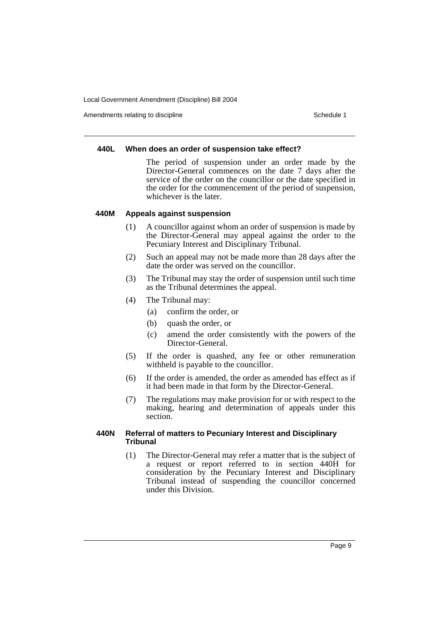Amendments relating to discipline Schedule 1

#### **440L When does an order of suspension take effect?**

The period of suspension under an order made by the Director-General commences on the date 7 days after the service of the order on the councillor or the date specified in the order for the commencement of the period of suspension, whichever is the later.

#### **440M Appeals against suspension**

- (1) A councillor against whom an order of suspension is made by the Director-General may appeal against the order to the Pecuniary Interest and Disciplinary Tribunal.
- (2) Such an appeal may not be made more than 28 days after the date the order was served on the councillor.
- (3) The Tribunal may stay the order of suspension until such time as the Tribunal determines the appeal.
- (4) The Tribunal may:
	- (a) confirm the order, or
	- (b) quash the order, or
	- (c) amend the order consistently with the powers of the Director-General.
- (5) If the order is quashed, any fee or other remuneration withheld is payable to the councillor.
- (6) If the order is amended, the order as amended has effect as if it had been made in that form by the Director-General.
- (7) The regulations may make provision for or with respect to the making, hearing and determination of appeals under this section.

# **440N Referral of matters to Pecuniary Interest and Disciplinary Tribunal**

(1) The Director-General may refer a matter that is the subject of a request or report referred to in section 440H for consideration by the Pecuniary Interest and Disciplinary Tribunal instead of suspending the councillor concerned under this Division.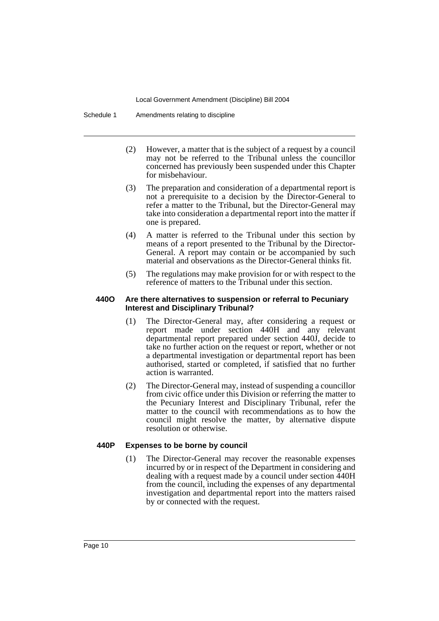Schedule 1 Amendments relating to discipline

- (2) However, a matter that is the subject of a request by a council may not be referred to the Tribunal unless the councillor concerned has previously been suspended under this Chapter for misbehaviour.
- (3) The preparation and consideration of a departmental report is not a prerequisite to a decision by the Director-General to refer a matter to the Tribunal, but the Director-General may take into consideration a departmental report into the matter if one is prepared.
- (4) A matter is referred to the Tribunal under this section by means of a report presented to the Tribunal by the Director-General. A report may contain or be accompanied by such material and observations as the Director-General thinks fit.
- (5) The regulations may make provision for or with respect to the reference of matters to the Tribunal under this section.

#### **440O Are there alternatives to suspension or referral to Pecuniary Interest and Disciplinary Tribunal?**

- (1) The Director-General may, after considering a request or report made under section 440H and any relevant departmental report prepared under section 440J, decide to take no further action on the request or report, whether or not a departmental investigation or departmental report has been authorised, started or completed, if satisfied that no further action is warranted.
- (2) The Director-General may, instead of suspending a councillor from civic office under this Division or referring the matter to the Pecuniary Interest and Disciplinary Tribunal, refer the matter to the council with recommendations as to how the council might resolve the matter, by alternative dispute resolution or otherwise.

# **440P Expenses to be borne by council**

(1) The Director-General may recover the reasonable expenses incurred by or in respect of the Department in considering and dealing with a request made by a council under section 440H from the council, including the expenses of any departmental investigation and departmental report into the matters raised by or connected with the request.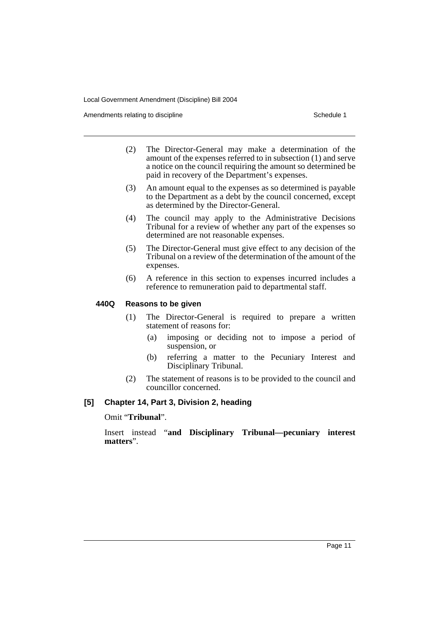Amendments relating to discipline Schedule 1

- (2) The Director-General may make a determination of the amount of the expenses referred to in subsection (1) and serve a notice on the council requiring the amount so determined be paid in recovery of the Department's expenses.
- (3) An amount equal to the expenses as so determined is payable to the Department as a debt by the council concerned, except as determined by the Director-General.
- (4) The council may apply to the Administrative Decisions Tribunal for a review of whether any part of the expenses so determined are not reasonable expenses.
- (5) The Director-General must give effect to any decision of the Tribunal on a review of the determination of the amount of the expenses.
- (6) A reference in this section to expenses incurred includes a reference to remuneration paid to departmental staff.

#### **440Q Reasons to be given**

- (1) The Director-General is required to prepare a written statement of reasons for:
	- (a) imposing or deciding not to impose a period of suspension, or
	- (b) referring a matter to the Pecuniary Interest and Disciplinary Tribunal.
- (2) The statement of reasons is to be provided to the council and councillor concerned.

# **[5] Chapter 14, Part 3, Division 2, heading**

Omit "**Tribunal**".

Insert instead "**and Disciplinary Tribunal—pecuniary interest matters**".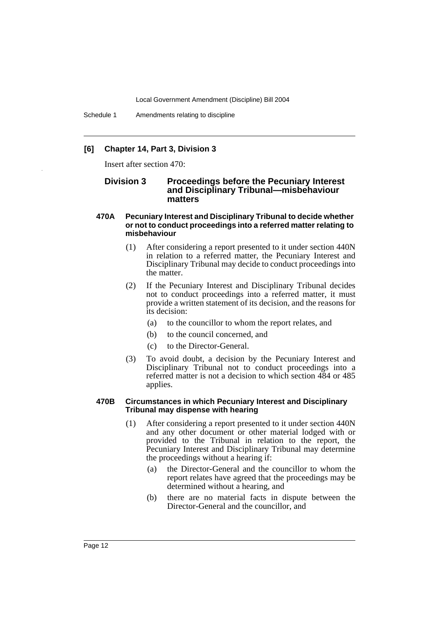# **[6] Chapter 14, Part 3, Division 3**

Insert after section 470:

# **Division 3 Proceedings before the Pecuniary Interest and Disciplinary Tribunal—misbehaviour matters**

- **470A Pecuniary Interest and Disciplinary Tribunal to decide whether or not to conduct proceedings into a referred matter relating to misbehaviour**
	- (1) After considering a report presented to it under section 440N in relation to a referred matter, the Pecuniary Interest and Disciplinary Tribunal may decide to conduct proceedings into the matter.
	- (2) If the Pecuniary Interest and Disciplinary Tribunal decides not to conduct proceedings into a referred matter, it must provide a written statement of its decision, and the reasons for its decision:
		- (a) to the councillor to whom the report relates, and
		- (b) to the council concerned, and
		- (c) to the Director-General.
	- (3) To avoid doubt, a decision by the Pecuniary Interest and Disciplinary Tribunal not to conduct proceedings into a referred matter is not a decision to which section 484 or 485 applies.

#### **470B Circumstances in which Pecuniary Interest and Disciplinary Tribunal may dispense with hearing**

- (1) After considering a report presented to it under section 440N and any other document or other material lodged with or provided to the Tribunal in relation to the report, the Pecuniary Interest and Disciplinary Tribunal may determine the proceedings without a hearing if:
	- (a) the Director-General and the councillor to whom the report relates have agreed that the proceedings may be determined without a hearing, and
	- (b) there are no material facts in dispute between the Director-General and the councillor, and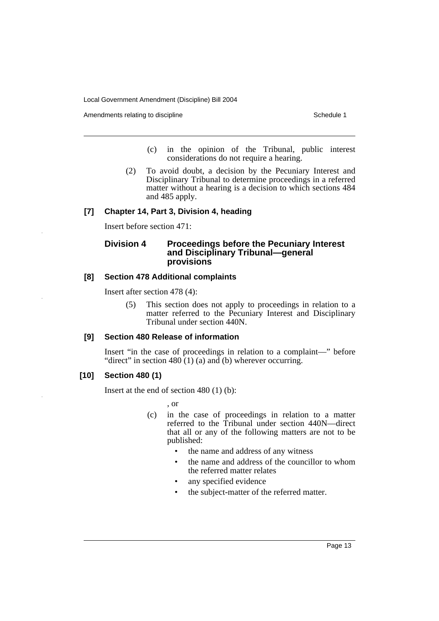Amendments relating to discipline Schedule 1

- (c) in the opinion of the Tribunal, public interest considerations do not require a hearing.
- (2) To avoid doubt, a decision by the Pecuniary Interest and Disciplinary Tribunal to determine proceedings in a referred matter without a hearing is a decision to which sections 484 and 485 apply.

# **[7] Chapter 14, Part 3, Division 4, heading**

Insert before section 471:

# **Division 4 Proceedings before the Pecuniary Interest and Disciplinary Tribunal—general provisions**

# **[8] Section 478 Additional complaints**

Insert after section 478 (4):

(5) This section does not apply to proceedings in relation to a matter referred to the Pecuniary Interest and Disciplinary Tribunal under section 440N.

# **[9] Section 480 Release of information**

Insert "in the case of proceedings in relation to a complaint—" before "direct" in section 480 (1) (a) and (b) wherever occurring.

# **[10] Section 480 (1)**

Insert at the end of section 480 (1) (b):

, or

- (c) in the case of proceedings in relation to a matter referred to the Tribunal under section 440N—direct that all or any of the following matters are not to be published:
	- the name and address of any witness
	- the name and address of the councillor to whom the referred matter relates
	- any specified evidence
	- the subject-matter of the referred matter.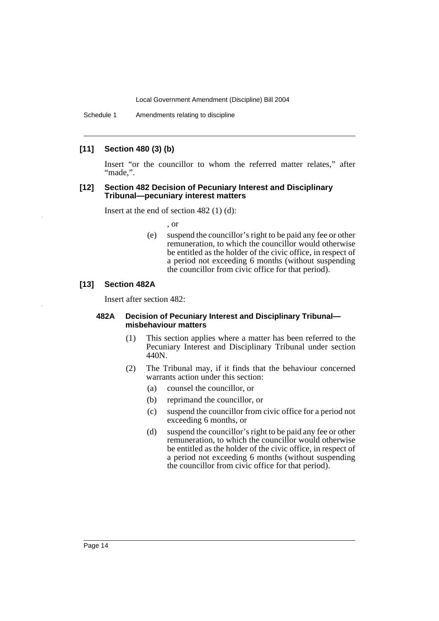# **[11] Section 480 (3) (b)**

Insert "or the councillor to whom the referred matter relates," after "made.".

#### **[12] Section 482 Decision of Pecuniary Interest and Disciplinary Tribunal—pecuniary interest matters**

Insert at the end of section 482 (1) (d):

, or

(e) suspend the councillor's right to be paid any fee or other remuneration, to which the councillor would otherwise be entitled as the holder of the civic office, in respect of a period not exceeding 6 months (without suspending the councillor from civic office for that period).

# **[13] Section 482A**

Insert after section 482:

#### **482A Decision of Pecuniary Interest and Disciplinary Tribunal misbehaviour matters**

- (1) This section applies where a matter has been referred to the Pecuniary Interest and Disciplinary Tribunal under section 440N.
- (2) The Tribunal may, if it finds that the behaviour concerned warrants action under this section:
	- (a) counsel the councillor, or
	- (b) reprimand the councillor, or
	- (c) suspend the councillor from civic office for a period not exceeding 6 months, or
	- (d) suspend the councillor's right to be paid any fee or other remuneration, to which the councillor would otherwise be entitled as the holder of the civic office, in respect of a period not exceeding 6 months (without suspending the councillor from civic office for that period).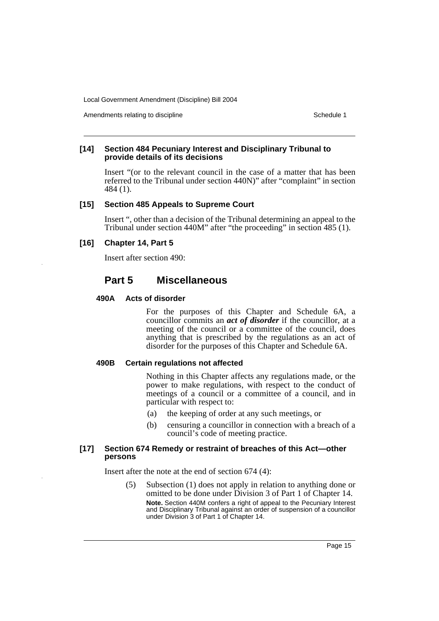Amendments relating to discipline Schedule 1

#### **[14] Section 484 Pecuniary Interest and Disciplinary Tribunal to provide details of its decisions**

Insert "(or to the relevant council in the case of a matter that has been referred to the Tribunal under section 440N)" after "complaint" in section 484 (1).

#### **[15] Section 485 Appeals to Supreme Court**

Insert ", other than a decision of the Tribunal determining an appeal to the Tribunal under section 440M" after "the proceeding" in section 485 (1).

# **[16] Chapter 14, Part 5**

Insert after section 490:

# **Part 5 Miscellaneous**

#### **490A Acts of disorder**

For the purposes of this Chapter and Schedule 6A, a councillor commits an *act of disorder* if the councillor, at a meeting of the council or a committee of the council, does anything that is prescribed by the regulations as an act of disorder for the purposes of this Chapter and Schedule 6A.

#### **490B Certain regulations not affected**

Nothing in this Chapter affects any regulations made, or the power to make regulations, with respect to the conduct of meetings of a council or a committee of a council, and in particular with respect to:

- (a) the keeping of order at any such meetings, or
- (b) censuring a councillor in connection with a breach of a council's code of meeting practice.

#### **[17] Section 674 Remedy or restraint of breaches of this Act—other persons**

Insert after the note at the end of section 674 (4):

(5) Subsection (1) does not apply in relation to anything done or omitted to be done under Division 3 of Part 1 of Chapter 14.

**Note.** Section 440M confers a right of appeal to the Pecuniary Interest and Disciplinary Tribunal against an order of suspension of a councillor under Division 3 of Part 1 of Chapter 14.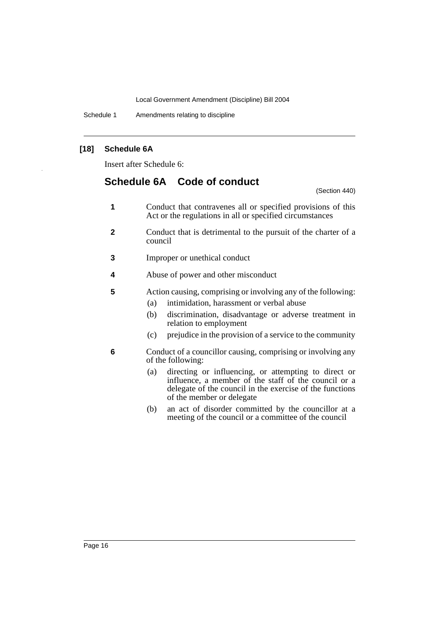Schedule 1 Amendments relating to discipline

# **[18] Schedule 6A**

Insert after Schedule 6:

# **Schedule 6A Code of conduct**

(Section 440)

- **1** Conduct that contravenes all or specified provisions of this Act or the regulations in all or specified circumstances
- **2** Conduct that is detrimental to the pursuit of the charter of a council
- **3** Improper or unethical conduct
- **4** Abuse of power and other misconduct
- **5** Action causing, comprising or involving any of the following:
	- (a) intimidation, harassment or verbal abuse
	- (b) discrimination, disadvantage or adverse treatment in relation to employment
	- (c) prejudice in the provision of a service to the community
- **6** Conduct of a councillor causing, comprising or involving any of the following:
	- (a) directing or influencing, or attempting to direct or influence, a member of the staff of the council or a delegate of the council in the exercise of the functions of the member or delegate
	- (b) an act of disorder committed by the councillor at a meeting of the council or a committee of the council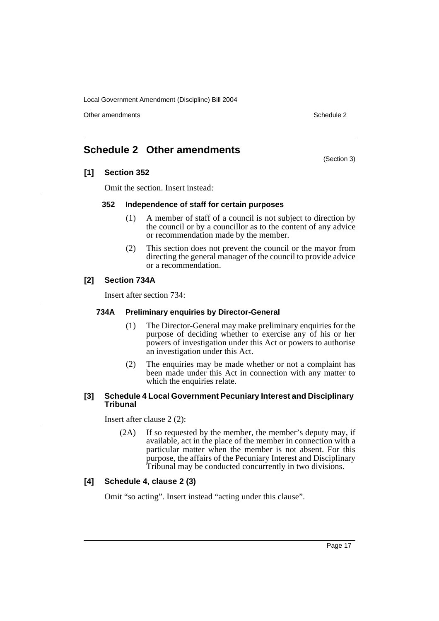Other amendments **Schedule 2** and 3 and 3 and 3 and 3 and 3 and 3 and 3 and 3 and 3 and 3 and 3 and 3 and 3 and 3 and 3 and 3 and 3 and 3 and 3 and 3 and 3 and 3 and 3 and 3 and 3 and 3 and 3 and 3 and 3 and 3 and 3 and 3

(Section 3)

# **Schedule 2 Other amendments**

# **[1] Section 352**

Omit the section. Insert instead:

# **352 Independence of staff for certain purposes**

- (1) A member of staff of a council is not subject to direction by the council or by a councillor as to the content of any advice or recommendation made by the member.
- (2) This section does not prevent the council or the mayor from directing the general manager of the council to provide advice or a recommendation.

# **[2] Section 734A**

Insert after section 734:

#### **734A Preliminary enquiries by Director-General**

- (1) The Director-General may make preliminary enquiries for the purpose of deciding whether to exercise any of his or her powers of investigation under this Act or powers to authorise an investigation under this Act.
- (2) The enquiries may be made whether or not a complaint has been made under this Act in connection with any matter to which the enquiries relate.

#### **[3] Schedule 4 Local Government Pecuniary Interest and Disciplinary Tribunal**

Insert after clause 2 (2):

(2A) If so requested by the member, the member's deputy may, if available, act in the place of the member in connection with a particular matter when the member is not absent. For this purpose, the affairs of the Pecuniary Interest and Disciplinary Tribunal may be conducted concurrently in two divisions.

# **[4] Schedule 4, clause 2 (3)**

Omit "so acting". Insert instead "acting under this clause".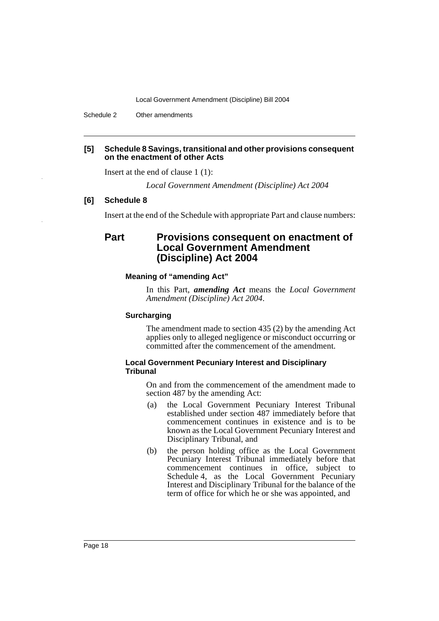Schedule 2 Other amendments

# **[5] Schedule 8 Savings, transitional and other provisions consequent on the enactment of other Acts**

Insert at the end of clause 1 (1):

*Local Government Amendment (Discipline) Act 2004*

#### **[6] Schedule 8**

Insert at the end of the Schedule with appropriate Part and clause numbers:

# **Part Provisions consequent on enactment of Local Government Amendment (Discipline) Act 2004**

# **Meaning of "amending Act"**

In this Part, *amending Act* means the *Local Government Amendment (Discipline) Act 2004*.

#### **Surcharging**

The amendment made to section 435 (2) by the amending Act applies only to alleged negligence or misconduct occurring or committed after the commencement of the amendment.

#### **Local Government Pecuniary Interest and Disciplinary Tribunal**

On and from the commencement of the amendment made to section 487 by the amending Act:

- (a) the Local Government Pecuniary Interest Tribunal established under section 487 immediately before that commencement continues in existence and is to be known as the Local Government Pecuniary Interest and Disciplinary Tribunal, and
- (b) the person holding office as the Local Government Pecuniary Interest Tribunal immediately before that commencement continues in office, subject to Schedule 4, as the Local Government Pecuniary Interest and Disciplinary Tribunal for the balance of the term of office for which he or she was appointed, and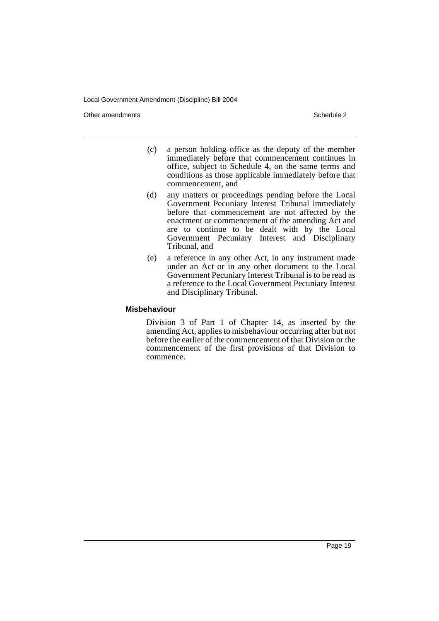Other amendments **Schedule 2** and 2 and 2 and 2 and 2 and 2 and 2 and 2 and 2 and 2 and 2 and 2 and 2 and 2 and 2 and 2 and 2 and 2 and 2 and 2 and 2 and 2 and 2 and 2 and 2 and 2 and 2 and 2 and 2 and 2 and 2 and 2 and 2

- (c) a person holding office as the deputy of the member immediately before that commencement continues in office, subject to Schedule 4, on the same terms and conditions as those applicable immediately before that commencement, and
- (d) any matters or proceedings pending before the Local Government Pecuniary Interest Tribunal immediately before that commencement are not affected by the enactment or commencement of the amending Act and are to continue to be dealt with by the Local Government Pecuniary Interest and Disciplinary Tribunal, and
- (e) a reference in any other Act, in any instrument made under an Act or in any other document to the Local Government Pecuniary Interest Tribunal is to be read as a reference to the Local Government Pecuniary Interest and Disciplinary Tribunal.

#### **Misbehaviour**

Division 3 of Part 1 of Chapter 14, as inserted by the amending Act, applies to misbehaviour occurring after but not before the earlier of the commencement of that Division or the commencement of the first provisions of that Division to commence.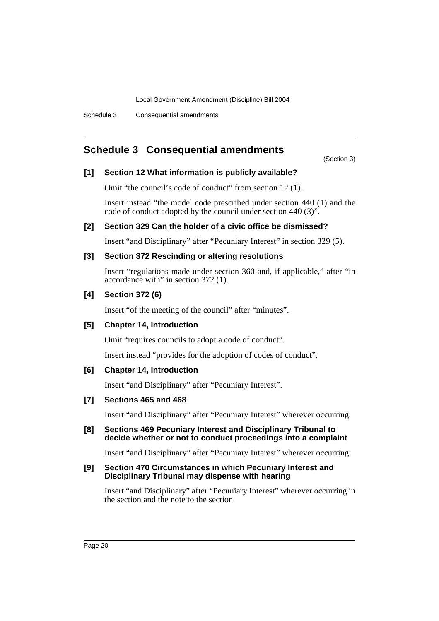# **Schedule 3 Consequential amendments**

(Section 3)

# **[1] Section 12 What information is publicly available?**

Omit "the council's code of conduct" from section 12 (1).

Insert instead "the model code prescribed under section 440 (1) and the code of conduct adopted by the council under section 440 (3)".

# **[2] Section 329 Can the holder of a civic office be dismissed?**

Insert "and Disciplinary" after "Pecuniary Interest" in section 329 (5).

# **[3] Section 372 Rescinding or altering resolutions**

Insert "regulations made under section 360 and, if applicable," after "in accordance with" in section 372 (1).

# **[4] Section 372 (6)**

Insert "of the meeting of the council" after "minutes".

# **[5] Chapter 14, Introduction**

Omit "requires councils to adopt a code of conduct".

Insert instead "provides for the adoption of codes of conduct".

# **[6] Chapter 14, Introduction**

Insert "and Disciplinary" after "Pecuniary Interest".

# **[7] Sections 465 and 468**

Insert "and Disciplinary" after "Pecuniary Interest" wherever occurring.

# **[8] Sections 469 Pecuniary Interest and Disciplinary Tribunal to decide whether or not to conduct proceedings into a complaint**

Insert "and Disciplinary" after "Pecuniary Interest" wherever occurring.

# **[9] Section 470 Circumstances in which Pecuniary Interest and Disciplinary Tribunal may dispense with hearing**

Insert "and Disciplinary" after "Pecuniary Interest" wherever occurring in the section and the note to the section.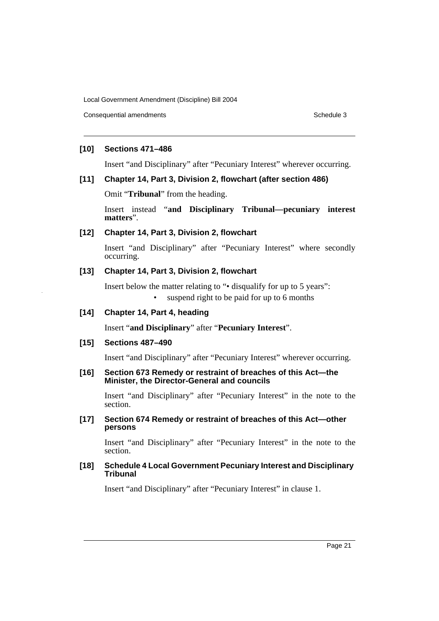Consequential amendments **Schedule 3** Schedule 3

# **[10] Sections 471–486**

Insert "and Disciplinary" after "Pecuniary Interest" wherever occurring.

# **[11] Chapter 14, Part 3, Division 2, flowchart (after section 486)**

Omit "**Tribunal**" from the heading.

Insert instead "**and Disciplinary Tribunal—pecuniary interest matters**".

# **[12] Chapter 14, Part 3, Division 2, flowchart**

Insert "and Disciplinary" after "Pecuniary Interest" where secondly occurring.

# **[13] Chapter 14, Part 3, Division 2, flowchart**

Insert below the matter relating to "• disqualify for up to 5 years": suspend right to be paid for up to 6 months

# **[14] Chapter 14, Part 4, heading**

Insert "**and Disciplinary**" after "**Pecuniary Interest**".

# **[15] Sections 487–490**

Insert "and Disciplinary" after "Pecuniary Interest" wherever occurring.

#### **[16] Section 673 Remedy or restraint of breaches of this Act—the Minister, the Director-General and councils**

Insert "and Disciplinary" after "Pecuniary Interest" in the note to the section.

# **[17] Section 674 Remedy or restraint of breaches of this Act—other persons**

Insert "and Disciplinary" after "Pecuniary Interest" in the note to the section.

#### **[18] Schedule 4 Local Government Pecuniary Interest and Disciplinary Tribunal**

Insert "and Disciplinary" after "Pecuniary Interest" in clause 1.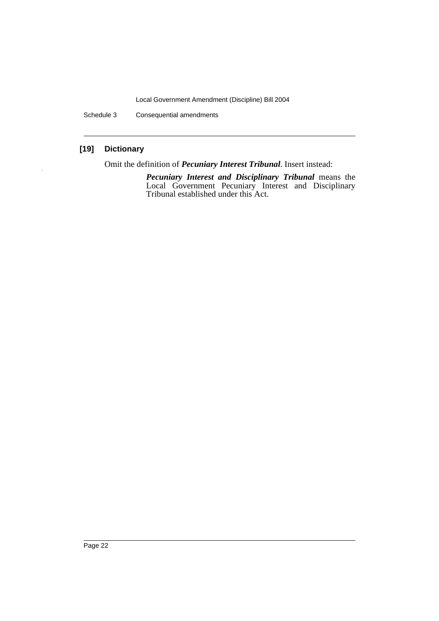Schedule 3 Consequential amendments

# **[19] Dictionary**

Omit the definition of *Pecuniary Interest Tribunal*. Insert instead:

*Pecuniary Interest and Disciplinary Tribunal* means the Local Government Pecuniary Interest and Disciplinary Tribunal established under this Act.